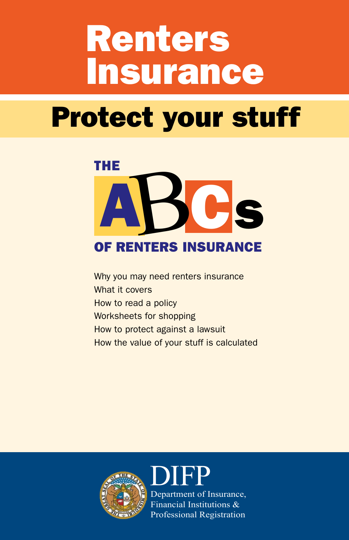# Renters Insurance

# Protect your stuff



Why you may need renters insurance What it covers How to read a policy Worksheets for shopping How to protect against a lawsuit How the value of your stuff is calculated



DIFP Department of Insurance, Financial Institutions & Professional Registration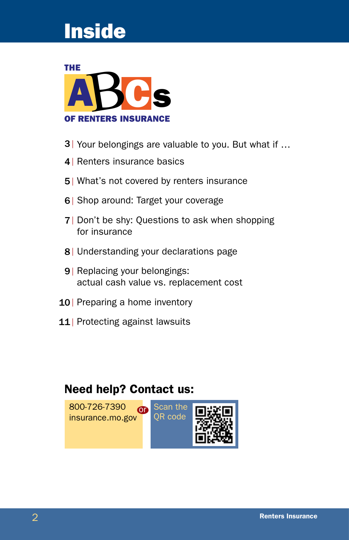## Inside



- 3 Your belongings are valuable to you. But what if ...
- 4 | Renters insurance basics
- 5 | What's not covered by renters insurance
- 6 | Shop around: Target your coverage
- 7 | Don't be shy: Questions to ask when shopping for insurance
- 8 | Understanding your declarations page
- 9 | Replacing your belongings: actual cash value vs. replacement cost
- 10 | Preparing a home inventory
- 11 | Protecting against lawsuits

## Need help? Contact us:

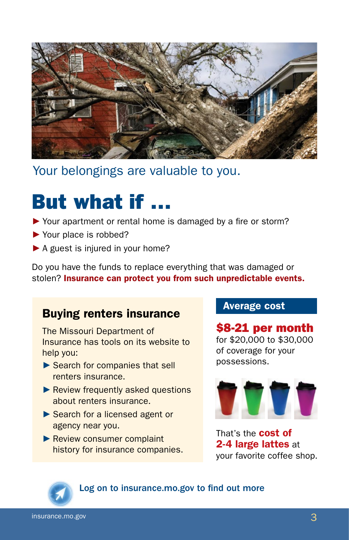

## Your belongings are valuable to you.

## But what if …

- ▶ Your apartment or rental home is damaged by a fire or storm?
- ► Your place is robbed?
- ▶ A guest is injured in your home?

Do you have the funds to replace everything that was damaged or stolen? Insurance can protect you from such unpredictable events.

### Buying renters insurance

The Missouri Department of Insurance has tools on its website to help you:

- ► Search for companies that sell renters insurance.
- ► Review frequently asked questions about renters insurance.
- ► Search for a licensed agent or agency near you.
- ► Review consumer complaint history for insurance companies.

### Average cost

\$8-21 per month for \$20,000 to \$30,000 of coverage for your possessions.



That's the **cost of** 2-4 large lattes at your favorite coffee shop.



Log on to insurance.mo.gov to find out more

insurance.mo.gov 3 and 3 and 3 and 3 and 3 and 3 and 3 and 3 and 3 and 3 and 3 and 3 and 3 and 3 and 3 and 3 a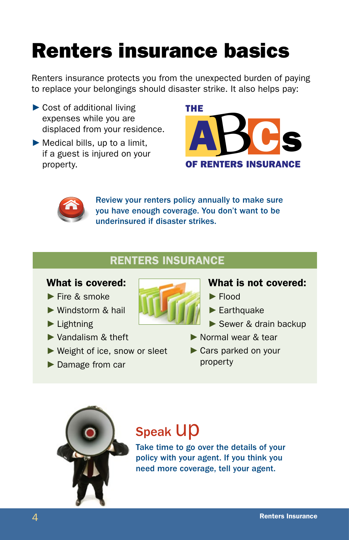## Renters insurance basics

Renters insurance protects you from the unexpected burden of paying to replace your belongings should disaster strike. It also helps pay:

- ► Cost of additional living expenses while you are displaced from your residence.
- ► Medical bills, up to a limit, if a guest is injured on your property.





Review your renters policy annually to make sure you have enough coverage. You don't want to be underinsured if disaster strikes.

## RENTERS INSURANCE

### What is covered:

- ► Fire & smoke
- ► Windstorm & hail
- ► Lightning
- ► Vandalism & theft
- ► Weight of ice, snow or sleet
- ► Damage from car



### What is not covered:

- ► Flood
- ► Earthquake
- ► Sewer & drain backup
- ► Normal wear & tear
- ► Cars parked on your property



## **Speak UD**

Take time to go over the details of your policy with your agent. If you think you need more coverage, tell your agent.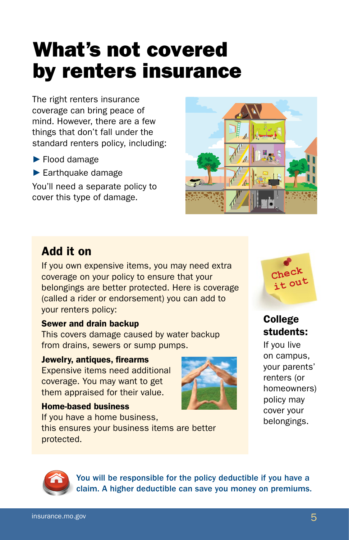## What's not covered by renters insurance

The right renters insurance coverage can bring peace of mind. However, there are a few things that don't fall under the standard renters policy, including:

- ► Flood damage
- ► Earthquake damage

You'll need a separate policy to cover this type of damage.



## Add it on

If you own expensive items, you may need extra coverage on your policy to ensure that your belongings are better protected. Here is coverage (called a rider or endorsement) you can add to your renters policy:

#### Sewer and drain backup

This covers damage caused by water backup from drains, sewers or sump pumps.

#### Jewelry, antiques, firearms

Expensive items need additional coverage. You may want to get them appraised for their value.

#### Home-based business

If you have a home business, this ensures your business items are better protected.



### College students:

If you live on campus, your parents' renters (or homeowners) policy may cover your belongings.



You will be responsible for the policy deductible if you have a claim. A higher deductible can save you money on premiums.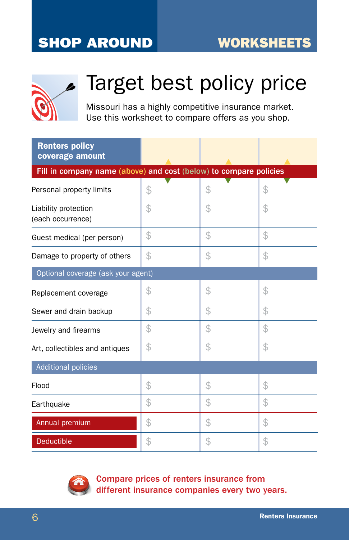## SHOP AROUND WORKSHEETS



## Target best policy price

Missouri has a highly competitive insurance market. Use this worksheet to compare offers as you shop.

| <b>Renters policy</b><br>coverage amount                          |    |    |    |  |
|-------------------------------------------------------------------|----|----|----|--|
| Fill in company name (above) and cost (below) to compare policies |    |    |    |  |
| Personal property limits                                          | \$ | \$ | \$ |  |
| Liability protection<br>(each occurrence)                         | \$ | \$ | \$ |  |
| Guest medical (per person)                                        | \$ | \$ | \$ |  |
| Damage to property of others                                      | \$ | \$ | \$ |  |
| Optional coverage (ask your agent)                                |    |    |    |  |
| Replacement coverage                                              | \$ | \$ | \$ |  |
| Sewer and drain backup                                            | \$ | \$ | \$ |  |
| Jewelry and firearms                                              | \$ | \$ | \$ |  |
| Art, collectibles and antiques                                    | \$ | \$ | \$ |  |
| <b>Additional policies</b>                                        |    |    |    |  |
| Flood                                                             | \$ | \$ | \$ |  |
| Earthquake                                                        | \$ | \$ | \$ |  |
| Annual premium                                                    | \$ | \$ | \$ |  |
| Deductible                                                        | \$ | \$ | \$ |  |



Compare prices of renters insurance from different insurance companies every two years.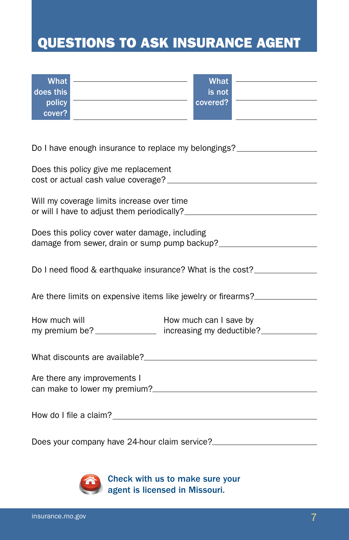## QUESTIONS TO ASK INSURANCE AGENT

| What      | What     |  |
|-----------|----------|--|
| does this | is not   |  |
| policy    | covered? |  |
| cover?    |          |  |
|           |          |  |

| Do I have enough insurance to replace my belongings?                                            |                                                                                           |  |  |
|-------------------------------------------------------------------------------------------------|-------------------------------------------------------------------------------------------|--|--|
| Does this policy give me replacement                                                            |                                                                                           |  |  |
| Will my coverage limits increase over time                                                      |                                                                                           |  |  |
| Does this policy cover water damage, including<br>damage from sewer, drain or sump pump backup? |                                                                                           |  |  |
| Do I need flood & earthquake insurance? What is the cost?                                       |                                                                                           |  |  |
| Are there limits on expensive items like jewelry or firearms?                                   |                                                                                           |  |  |
|                                                                                                 | How much will<br>my premium be? _______________ increasing my deductible? _______________ |  |  |
|                                                                                                 |                                                                                           |  |  |
| Are there any improvements I<br>can make to lower my premium?                                   |                                                                                           |  |  |
|                                                                                                 |                                                                                           |  |  |
| Does your company have 24-hour claim service?___________________________________                |                                                                                           |  |  |



Check with us to make sure your agent is licensed in Missouri.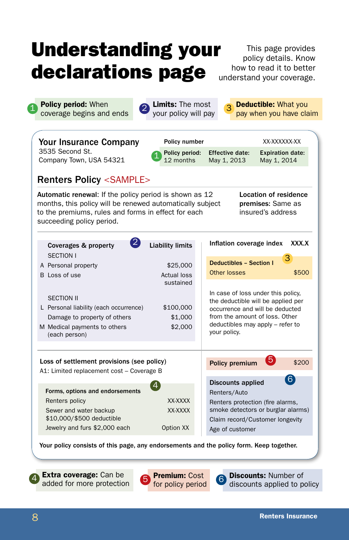## Understanding your declarations page

This page provides policy details. Know how to read it to better understand your coverage.

| Policy period: When<br>coverage begins and ends                                                                                                                                                         | <b>Limits:</b> The most<br>your policy will pay           |                                                                                                                                                                                                   | <b>Deductible: What you</b><br>3<br>pay when you have claim |                                                                                                           |           |
|---------------------------------------------------------------------------------------------------------------------------------------------------------------------------------------------------------|-----------------------------------------------------------|---------------------------------------------------------------------------------------------------------------------------------------------------------------------------------------------------|-------------------------------------------------------------|-----------------------------------------------------------------------------------------------------------|-----------|
| <b>Your Insurance Company</b>                                                                                                                                                                           | Policy number                                             |                                                                                                                                                                                                   | XX-XXXXXX-XX                                                |                                                                                                           |           |
| 3535 Second St.<br>Company Town, USA 54321                                                                                                                                                              | Policy period:<br>12 months                               | <b>Effective date:</b><br>May 1, 2013                                                                                                                                                             |                                                             | <b>Expiration date:</b><br>May 1, 2014                                                                    |           |
| <b>Renters Policy <sample></sample></b>                                                                                                                                                                 |                                                           |                                                                                                                                                                                                   |                                                             |                                                                                                           |           |
| Automatic renewal: If the policy period is shown as 12<br>months, this policy will be renewed automatically subject<br>to the premiums, rules and forms in effect for each<br>succeeding policy period. |                                                           |                                                                                                                                                                                                   |                                                             | Location of residence<br>premises: Same as<br>insured's address                                           |           |
| $\left 2\right\rangle$<br>Coverages & property                                                                                                                                                          | <b>Liability limits</b>                                   |                                                                                                                                                                                                   |                                                             | Inflation coverage index                                                                                  | XXX.X     |
| <b>SECTION I</b><br>A Personal property                                                                                                                                                                 | \$25,000                                                  |                                                                                                                                                                                                   | 3<br><b>Deductibles - Section I</b>                         |                                                                                                           |           |
| B Loss of use                                                                                                                                                                                           | Actual loss<br>sustained                                  |                                                                                                                                                                                                   | <b>Other losses</b>                                         |                                                                                                           | \$500     |
| <b>SECTION II</b><br>L Personal liability (each occurrence)<br>Damage to property of others<br>M Medical payments to others<br>(each person)                                                            | \$100,000<br>\$1,000<br>\$2,000                           | In case of loss under this policy,<br>the deductible will be applied per<br>occurrence and will be deducted<br>from the amount of loss. Other<br>deductibles may apply - refer to<br>your policy. |                                                             |                                                                                                           |           |
| Loss of settlement provisions (see policy)<br>A1: Limited replacement cost - Coverage B                                                                                                                 |                                                           |                                                                                                                                                                                                   | <b>Policy premium</b>                                       | 6                                                                                                         | \$200     |
| Forms, options and endorsements<br>Renters policy<br>Sewer and water backup<br>\$10,000/\$500 deductible<br>Jewelry and furs \$2,000 each                                                               | $\left 4\right\rangle$<br>XX-XXXX<br>XX-XXXX<br>Option XX |                                                                                                                                                                                                   | <b>Discounts applied</b><br>Renters/Auto<br>Age of customer | Renters protection (fire alarms,<br>smoke detectors or burglar alarms)<br>Claim record/Customer longevity | $\bullet$ |

Your policy consists of this page, any endorsements and the policy form. Keep together.



**Extra coverage:** Can be added for more protection

Premium: Cost



**Extra coverage:** Can be **G Premium: Cost G Discounts:** Number of added for more protection **G** for policy period **G** discounts applied to policy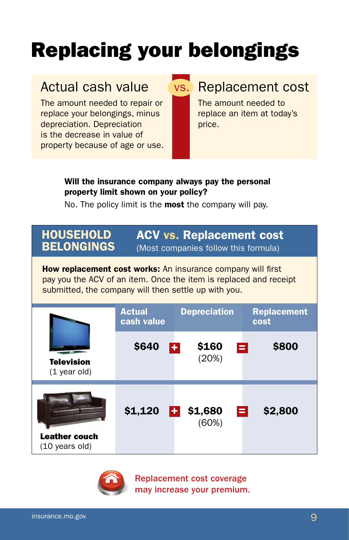## Replacing your belongings

The amount needed to repair or replace your belongings, minus depreciation. Depreciation is the decrease in value of property because of age or use.

## Actual cash value (vs. Replacement cost

The amount needed to replace an item at today's price.

### Will the insurance company always pay the personal property limit shown on your policy?

No. The policy limit is the **most** the company will pay.

| <b>HOUSEHOLD</b><br><b>ACV vs. Replacement cost</b><br><b>BELONGINGS</b><br>(Most companies follow this formula)                                                                                |                             |                      |                            |
|-------------------------------------------------------------------------------------------------------------------------------------------------------------------------------------------------|-----------------------------|----------------------|----------------------------|
| <b>How replacement cost works:</b> An insurance company will first<br>pay you the ACV of an item. Once the item is replaced and receipt<br>submitted, the company will then settle up with you. |                             |                      |                            |
|                                                                                                                                                                                                 | <b>Actual</b><br>cash value | <b>Depreciation</b>  | <b>Replacement</b><br>cost |
| <b>Television</b><br>$(1$ year old)                                                                                                                                                             | \$640                       | \$160<br>÷.<br>(20%) | \$800<br>$=$               |
| <b>Leather couch</b><br>(10 years old)                                                                                                                                                          | \$1,120                     | \$1,680<br>(60%)     | \$2,800<br>Е               |



Replacement cost coverage may increase your premium.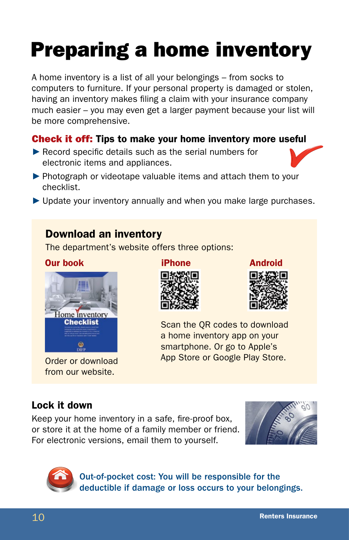## Preparing a home inventory

A home inventory is a list of all your belongings – from socks to computers to furniture. If your personal property is damaged or stolen, having an inventory makes filing a claim with your insurance company much easier – you may even get a larger payment because your list will be more comprehensive.

### Check it off: Tips to make your home inventory more useful

- ▶ Record specific details such as the serial numbers for electronic items and appliances.
- ▶ Photograph or videotape valuable items and attach them to your checklist.
- ▶ Update your inventory annually and when you make large purchases.

## Download an inventory

The department's website offers three options:

### **Our book iPhone Android**



Order or download from our website.





Scan the QR codes to download a home inventory app on your smartphone. Or go to Apple's App Store or Google Play Store.

### Lock it down

Keep your home inventory in a safe, fire-proof box, or store it at the home of a family member or friend. For electronic versions, email them to yourself.





Out-of-pocket cost: You will be responsible for the deductible if damage or loss occurs to your belongings.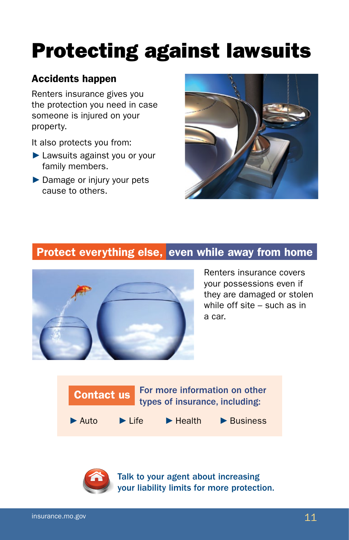## Protecting against lawsuits

### Accidents happen

Renters insurance gives you the protection you need in case someone is injured on your property.

It also protects you from:

- ► Lawsuits against you or your family members.
- ► Damage or injury your pets cause to others.



## Protect everything else, even while away from home



Renters insurance covers your possessions even if they are damaged or stolen while off site – such as in a car.





Talk to your agent about increasing your liability limits for more protection.